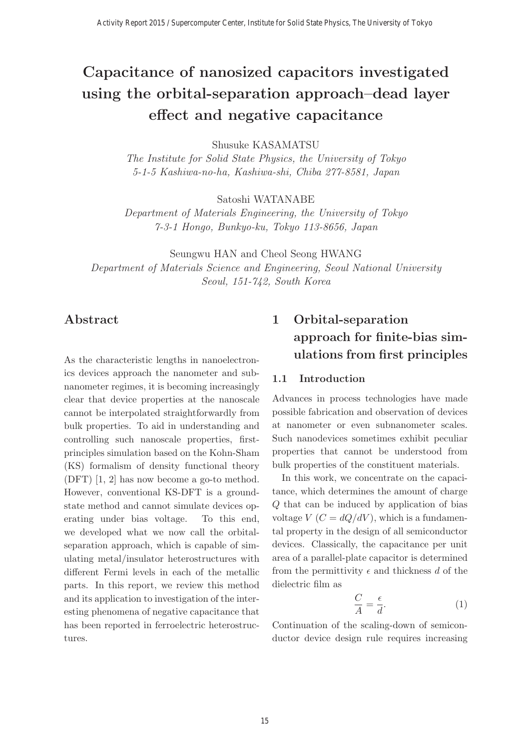# **Capacitance of nanosized capacitors investigated using the orbital-separation approach–dead layer effect and negative capacitance**

Shusuke KASAMATSU

The Institute for Solid State Physics, the University of Tokyo 5-1-5 Kashiwa-no-ha, Kashiwa-shi, Chiba 277-8581, Japan

Satoshi WATANABE

Department of Materials Engineering, the University of Tokyo 7-3-1 Hongo, Bunkyo-ku, Tokyo 113-8656, Japan

Seungwu HAN and Cheol Seong HWANG Department of Materials Science and Engineering, Seoul National University Seoul, 151-742, South Korea

# **Abstract**

As the characteristic lengths in nanoelectronics devices approach the nanometer and subnanometer regimes, it is becoming increasingly clear that device properties at the nanoscale cannot be interpolated straightforwardly from bulk properties. To aid in understanding and controlling such nanoscale properties, firstprinciples simulation based on the Kohn-Sham (KS) formalism of density functional theory (DFT) [1, 2] has now become a go-to method. However, conventional KS-DFT is a groundstate method and cannot simulate devices operating under bias voltage. To this end, we developed what we now call the orbitalseparation approach, which is capable of simulating metal/insulator heterostructures with different Fermi levels in each of the metallic parts. In this report, we review this method and its application to investigation of the interesting phenomena of negative capacitance that has been reported in ferroelectric heterostructures.

# **1 Orbital-separation approach for finite-bias simulations from first principles**

#### **1.1 Introduction**

Advances in process technologies have made possible fabrication and observation of devices at nanometer or even subnanometer scales. Such nanodevices sometimes exhibit peculiar properties that cannot be understood from bulk properties of the constituent materials.

In this work, we concentrate on the capacitance, which determines the amount of charge Q that can be induced by application of bias voltage  $V(C = dQ/dV)$ , which is a fundamental property in the design of all semiconductor devices. Classically, the capacitance per unit area of a parallel-plate capacitor is determined from the permittivity  $\epsilon$  and thickness d of the dielectric film as

$$
\frac{C}{A} = \frac{\epsilon}{d}.\tag{1}
$$

Continuation of the scaling-down of semiconductor device design rule requires increasing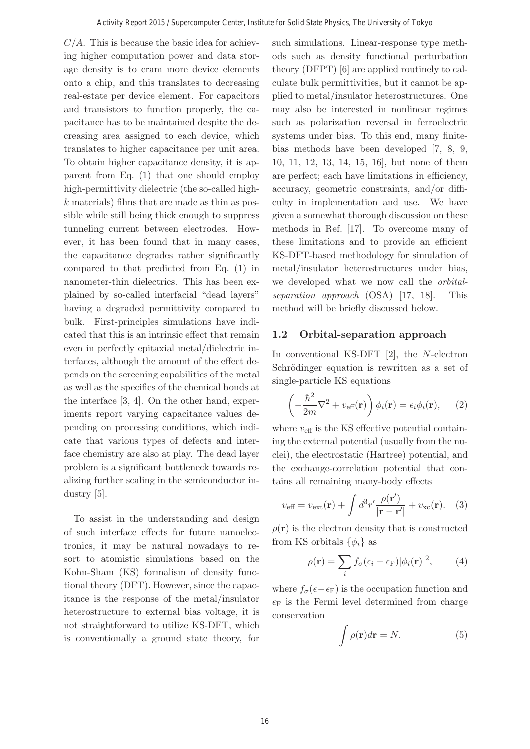$C/A$ . This is because the basic idea for achieving higher computation power and data storage density is to cram more device elements onto a chip, and this translates to decreasing real-estate per device element. For capacitors and transistors to function properly, the capacitance has to be maintained despite the decreasing area assigned to each device, which translates to higher capacitance per unit area. To obtain higher capacitance density, it is apparent from Eq. (1) that one should employ high-permittivity dielectric (the so-called highk materials) films that are made as thin as possible while still being thick enough to suppress tunneling current between electrodes. However, it has been found that in many cases, the capacitance degrades rather significantly compared to that predicted from Eq. (1) in nanometer-thin dielectrics. This has been explained by so-called interfacial "dead layers" having a degraded permittivity compared to bulk. First-principles simulations have indicated that this is an intrinsic effect that remain even in perfectly epitaxial metal/dielectric interfaces, although the amount of the effect depends on the screening capabilities of the metal as well as the specifics of the chemical bonds at the interface [3, 4]. On the other hand, experiments report varying capacitance values depending on processing conditions, which indicate that various types of defects and interface chemistry are also at play. The dead layer problem is a significant bottleneck towards realizing further scaling in the semiconductor industry [5].

To assist in the understanding and design of such interface effects for future nanoelectronics, it may be natural nowadays to resort to atomistic simulations based on the Kohn-Sham (KS) formalism of density functional theory (DFT). However, since the capacitance is the response of the metal/insulator heterostructure to external bias voltage, it is not straightforward to utilize KS-DFT, which is conventionally a ground state theory, for

such simulations. Linear-response type methods such as density functional perturbation theory (DFPT) [6] are applied routinely to calculate bulk permittivities, but it cannot be applied to metal/insulator heterostructures. One may also be interested in nonlinear regimes such as polarization reversal in ferroelectric systems under bias. To this end, many finitebias methods have been developed [7, 8, 9, 10, 11, 12, 13, 14, 15, 16], but none of them are perfect; each have limitations in efficiency, accuracy, geometric constraints, and/or difficulty in implementation and use. We have given a somewhat thorough discussion on these methods in Ref. [17]. To overcome many of these limitations and to provide an efficient KS-DFT-based methodology for simulation of metal/insulator heterostructures under bias, we developed what we now call the orbitalseparation approach (OSA) [17, 18]. This method will be briefly discussed below.

### **1.2 Orbital-separation approach**

In conventional KS-DFT [2], the N-electron Schrödinger equation is rewritten as a set of single-particle KS equations

$$
\left(-\frac{\hbar^2}{2m}\nabla^2 + v_{\text{eff}}(\mathbf{r})\right)\phi_i(\mathbf{r}) = \epsilon_i\phi_i(\mathbf{r}), \qquad (2)
$$

where  $v_{\text{eff}}$  is the KS effective potential containing the external potential (usually from the nuclei), the electrostatic (Hartree) potential, and the exchange-correlation potential that contains all remaining many-body effects

$$
v_{\text{eff}} = v_{\text{ext}}(\mathbf{r}) + \int d^3 r' \frac{\rho(\mathbf{r}')}{|\mathbf{r} - \mathbf{r}'|} + v_{\text{xc}}(\mathbf{r}). \quad (3)
$$

 $\rho(\mathbf{r})$  is the electron density that is constructed from KS orbitals  $\{\phi_i\}$  as

$$
\rho(\mathbf{r}) = \sum_{i} f_{\sigma}(\epsilon_i - \epsilon_{\mathcal{F}}) |\phi_i(\mathbf{r})|^2, \qquad (4)
$$

where  $f_{\sigma}(\epsilon - \epsilon_{\text{F}})$  is the occupation function and  $\epsilon_F$  is the Fermi level determined from charge conservation

$$
\int \rho(\mathbf{r})d\mathbf{r} = N.
$$
 (5)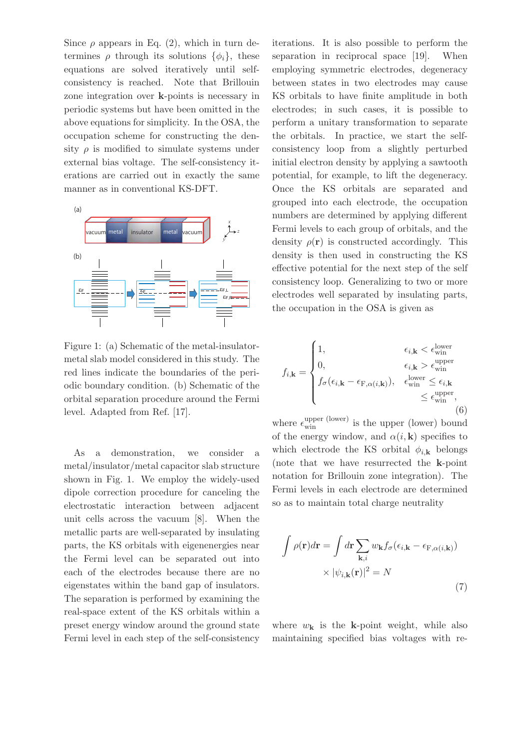Since  $\rho$  appears in Eq. (2), which in turn determines  $\rho$  through its solutions  $\{\phi_i\}$ , these equations are solved iteratively until selfconsistency is reached. Note that Brillouin zone integration over **k**-points is necessary in periodic systems but have been omitted in the above equations for simplicity. In the OSA, the occupation scheme for constructing the density  $\rho$  is modified to simulate systems under external bias voltage. The self-consistency iterations are carried out in exactly the same manner as in conventional KS-DFT.



Figure 1: (a) Schematic of the metal-insulatormetal slab model considered in this study. The red lines indicate the boundaries of the periodic boundary condition. (b) Schematic of the orbital separation procedure around the Fermi level. Adapted from Ref. [17].

As a demonstration, we consider a metal/insulator/metal capacitor slab structure shown in Fig. 1. We employ the widely-used dipole correction procedure for canceling the electrostatic interaction between adjacent unit cells across the vacuum [8]. When the metallic parts are well-separated by insulating parts, the KS orbitals with eigenenergies near the Fermi level can be separated out into each of the electrodes because there are no eigenstates within the band gap of insulators. The separation is performed by examining the real-space extent of the KS orbitals within a preset energy window around the ground state Fermi level in each step of the self-consistency iterations. It is also possible to perform the separation in reciprocal space [19]. When employing symmetric electrodes, degeneracy between states in two electrodes may cause KS orbitals to have finite amplitude in both electrodes; in such cases, it is possible to perform a unitary transformation to separate the orbitals. In practice, we start the selfconsistency loop from a slightly perturbed initial electron density by applying a sawtooth potential, for example, to lift the degeneracy. Once the KS orbitals are separated and grouped into each electrode, the occupation numbers are determined by applying different Fermi levels to each group of orbitals, and the density  $\rho(\mathbf{r})$  is constructed accordingly. This density is then used in constructing the KS effective potential for the next step of the self consistency loop. Generalizing to two or more electrodes well separated by insulating parts, the occupation in the OSA is given as

$$
f_{i,\mathbf{k}} = \begin{cases} 1, & \epsilon_{i,\mathbf{k}} < \epsilon_{\text{win}}^{\text{lower}} \\ 0, & \epsilon_{i,\mathbf{k}} > \epsilon_{\text{win}}^{\text{upper}} \\ f_{\sigma}(\epsilon_{i,\mathbf{k}} - \epsilon_{\text{F},\alpha(i,\mathbf{k})}), & \epsilon_{\text{win}}^{\text{lower}} \leq \epsilon_{i,\mathbf{k}} \\ & \leq \epsilon_{\text{win}}^{\text{upper}}, \\ 6) \end{cases}
$$

where  $\epsilon_{\rm win}^{\rm upper~(lower)}$  is the upper (lower) bound of the energy window, and  $\alpha(i, \mathbf{k})$  specifies to which electrode the KS orbital  $\phi_{i,k}$  belongs (note that we have resurrected the **k**-point notation for Brillouin zone integration). The Fermi levels in each electrode are determined so as to maintain total charge neutrality

$$
\int \rho(\mathbf{r})d\mathbf{r} = \int d\mathbf{r} \sum_{\mathbf{k},i} w_{\mathbf{k}} f_{\sigma}(\epsilon_{i,\mathbf{k}} - \epsilon_{F,\alpha(i,\mathbf{k}}))
$$

$$
\times |\psi_{i,\mathbf{k}}(\mathbf{r})|^2 = N
$$
\n(7)

where  $w_{\mathbf{k}}$  is the **k**-point weight, while also maintaining specified bias voltages with re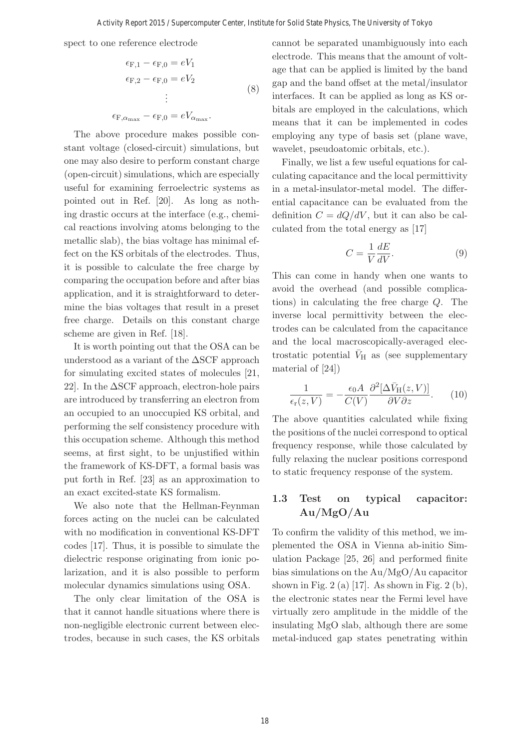$\mathcal{E}$ 

spect to one reference electrode

$$
\epsilon_{F,1} - \epsilon_{F,0} = eV_1
$$
  
\n
$$
\epsilon_{F,2} - \epsilon_{F,0} = eV_2
$$
  
\n
$$
\vdots
$$
  
\n
$$
\epsilon_{F,\alpha_{\max}} - \epsilon_{F,0} = eV_{\alpha_{\max}}.
$$
\n(8)

The above procedure makes possible constant voltage (closed-circuit) simulations, but one may also desire to perform constant charge (open-circuit) simulations, which are especially useful for examining ferroelectric systems as pointed out in Ref. [20]. As long as nothing drastic occurs at the interface (e.g., chemical reactions involving atoms belonging to the metallic slab), the bias voltage has minimal effect on the KS orbitals of the electrodes. Thus, it is possible to calculate the free charge by comparing the occupation before and after bias application, and it is straightforward to determine the bias voltages that result in a preset free charge. Details on this constant charge scheme are given in Ref. [18].

It is worth pointing out that the OSA can be understood as a variant of the  $\Delta$ SCF approach for simulating excited states of molecules [21, 22. In the  $\Delta$ SCF approach, electron-hole pairs are introduced by transferring an electron from an occupied to an unoccupied KS orbital, and performing the self consistency procedure with this occupation scheme. Although this method seems, at first sight, to be unjustified within the framework of KS-DFT, a formal basis was put forth in Ref. [23] as an approximation to an exact excited-state KS formalism.

We also note that the Hellman-Feynman forces acting on the nuclei can be calculated with no modification in conventional KS-DFT codes [17]. Thus, it is possible to simulate the dielectric response originating from ionic polarization, and it is also possible to perform molecular dynamics simulations using OSA.

The only clear limitation of the OSA is that it cannot handle situations where there is non-negligible electronic current between electrodes, because in such cases, the KS orbitals cannot be separated unambiguously into each electrode. This means that the amount of voltage that can be applied is limited by the band gap and the band offset at the metal/insulator interfaces. It can be applied as long as KS orbitals are employed in the calculations, which means that it can be implemented in codes employing any type of basis set (plane wave, wavelet, pseudoatomic orbitals, etc.).

Finally, we list a few useful equations for calculating capacitance and the local permittivity in a metal-insulator-metal model. The differential capacitance can be evaluated from the definition  $C = dQ/dV$ , but it can also be calculated from the total energy as [17]

$$
C = \frac{1}{V} \frac{dE}{dV}.
$$
\n(9)

This can come in handy when one wants to avoid the overhead (and possible complications) in calculating the free charge Q. The inverse local permittivity between the electrodes can be calculated from the capacitance and the local macroscopically-averaged electrostatic potential  $\bar{V}_{\rm H}$  as (see supplementary material of [24])

$$
\frac{1}{\epsilon_{\rm r}(z,V)} = -\frac{\epsilon_0 A}{C(V)} \frac{\partial^2 [\Delta \bar{V}_{\rm H}(z,V)]}{\partial V \partial z}.
$$
 (10)

The above quantities calculated while fixing the positions of the nuclei correspond to optical frequency response, while those calculated by fully relaxing the nuclear positions correspond to static frequency response of the system.

## **1.3 Test on typical capacitor: Au/MgO/Au**

To confirm the validity of this method, we implemented the OSA in Vienna ab-initio Simulation Package [25, 26] and performed finite bias simulations on the Au/MgO/Au capacitor shown in Fig. 2 (a) [17]. As shown in Fig. 2 (b), the electronic states near the Fermi level have virtually zero amplitude in the middle of the insulating MgO slab, although there are some metal-induced gap states penetrating within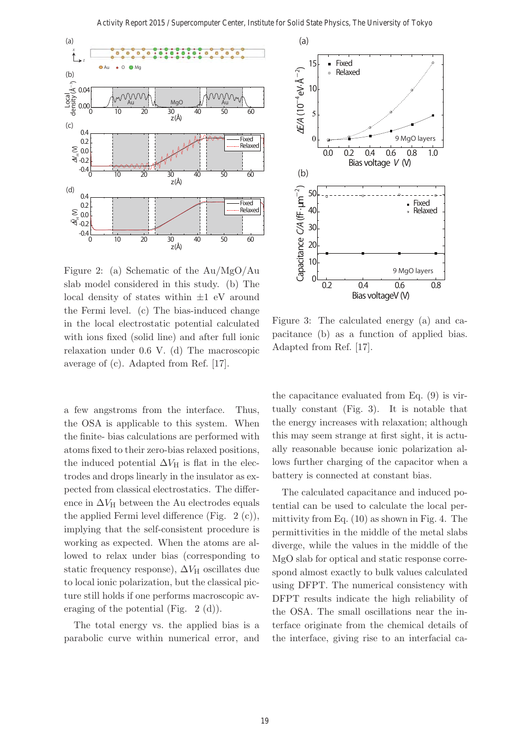

Figure 2: (a) Schematic of the Au/MgO/Au slab model considered in this study. (b) The local density of states within  $\pm 1$  eV around the Fermi level. (c) The bias-induced change in the local electrostatic potential calculated with ions fixed (solid line) and after full ionic relaxation under 0.6 V. (d) The macroscopic average of (c). Adapted from Ref. [17].

a few angstroms from the interface. Thus, the OSA is applicable to this system. When the finite- bias calculations are performed with atoms fixed to their zero-bias relaxed positions, the induced potential  $\Delta V_H$  is flat in the electrodes and drops linearly in the insulator as expected from classical electrostatics. The difference in  $\Delta V_H$  between the Au electrodes equals the applied Fermi level difference (Fig. 2 (c)), implying that the self-consistent procedure is working as expected. When the atoms are allowed to relax under bias (corresponding to static frequency response),  $\Delta V_H$  oscillates due to local ionic polarization, but the classical picture still holds if one performs macroscopic averaging of the potential (Fig. 2 (d)).

The total energy vs. the applied bias is a parabolic curve within numerical error, and



Figure 3: The calculated energy (a) and capacitance (b) as a function of applied bias. Adapted from Ref. [17].

the capacitance evaluated from Eq. (9) is virtually constant (Fig. 3). It is notable that the energy increases with relaxation; although this may seem strange at first sight, it is actually reasonable because ionic polarization allows further charging of the capacitor when a battery is connected at constant bias.

The calculated capacitance and induced potential can be used to calculate the local permittivity from Eq. (10) as shown in Fig. 4. The permittivities in the middle of the metal slabs diverge, while the values in the middle of the MgO slab for optical and static response correspond almost exactly to bulk values calculated using DFPT. The numerical consistency with DFPT results indicate the high reliability of the OSA. The small oscillations near the interface originate from the chemical details of the interface, giving rise to an interfacial ca-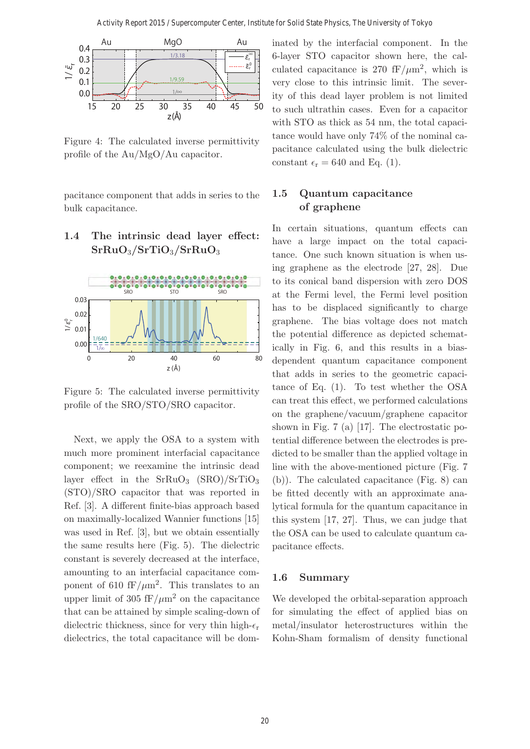

Figure 4: The calculated inverse permittivity profile of the Au/MgO/Au capacitor.

pacitance component that adds in series to the bulk capacitance.

# **1.4 The intrinsic dead layer effect: SrRuO**3**/SrTiO**3**/SrRuO**<sup>3</sup>



Figure 5: The calculated inverse permittivity profile of the SRO/STO/SRO capacitor.

Next, we apply the OSA to a system with much more prominent interfacial capacitance component; we reexamine the intrinsic dead layer effect in the  $SrRuO<sub>3</sub>$  (SRO)/SrTiO<sub>3</sub> (STO)/SRO capacitor that was reported in Ref. [3]. A different finite-bias approach based on maximally-localized Wannier functions [15] was used in Ref. [3], but we obtain essentially the same results here (Fig. 5). The dielectric constant is severely decreased at the interface, amounting to an interfacial capacitance component of 610 fF/ $\mu$ m<sup>2</sup>. This translates to an upper limit of 305 fF/ $\mu$ m<sup>2</sup> on the capacitance that can be attained by simple scaling-down of dielectric thickness, since for very thin high- $\epsilon_r$ dielectrics, the total capacitance will be dominated by the interfacial component. In the 6-layer STO capacitor shown here, the calculated capacitance is 270 fF/ $\mu$ m<sup>2</sup>, which is very close to this intrinsic limit. The severity of this dead layer problem is not limited to such ultrathin cases. Even for a capacitor with STO as thick as 54 nm, the total capacitance would have only 74% of the nominal capacitance calculated using the bulk dielectric constant  $\epsilon_{\rm r} = 640$  and Eq. (1).

## **1.5 Quantum capacitance of graphene**

In certain situations, quantum effects can have a large impact on the total capacitance. One such known situation is when using graphene as the electrode [27, 28]. Due to its conical band dispersion with zero DOS at the Fermi level, the Fermi level position has to be displaced significantly to charge graphene. The bias voltage does not match the potential difference as depicted schematically in Fig. 6, and this results in a biasdependent quantum capacitance component that adds in series to the geometric capacitance of Eq. (1). To test whether the OSA can treat this effect, we performed calculations on the graphene/vacuum/graphene capacitor shown in Fig. 7 (a) [17]. The electrostatic potential difference between the electrodes is predicted to be smaller than the applied voltage in line with the above-mentioned picture (Fig. 7 (b)). The calculated capacitance (Fig. 8) can be fitted decently with an approximate analytical formula for the quantum capacitance in this system [17, 27]. Thus, we can judge that the OSA can be used to calculate quantum capacitance effects.

### **1.6 Summary**

We developed the orbital-separation approach for simulating the effect of applied bias on metal/insulator heterostructures within the Kohn-Sham formalism of density functional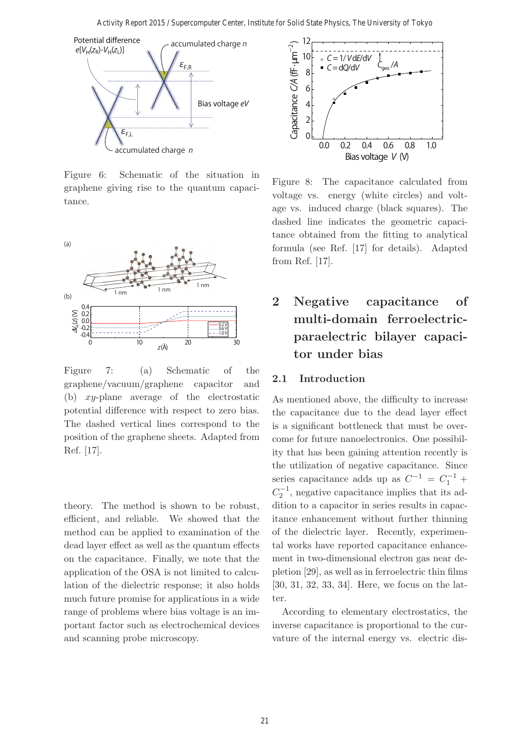

Figure 6: Schematic of the situation in graphene giving rise to the quantum capacitance.



Figure 7: (a) Schematic of the graphene/vacuum/graphene capacitor and (b) xy-plane average of the electrostatic potential difference with respect to zero bias. The dashed vertical lines correspond to the position of the graphene sheets. Adapted from Ref. [17].

theory. The method is shown to be robust, efficient, and reliable. We showed that the method can be applied to examination of the dead layer effect as well as the quantum effects on the capacitance. Finally, we note that the application of the OSA is not limited to calculation of the dielectric response; it also holds much future promise for applications in a wide range of problems where bias voltage is an important factor such as electrochemical devices and scanning probe microscopy.



Figure 8: The capacitance calculated from voltage vs. energy (white circles) and voltage vs. induced charge (black squares). The dashed line indicates the geometric capacitance obtained from the fitting to analytical formula (see Ref. [17] for details). Adapted from Ref. [17].

# **2 Negative capacitance of multi-domain ferroelectricparaelectric bilayer capacitor under bias**

### **2.1 Introduction**

As mentioned above, the difficulty to increase the capacitance due to the dead layer effect is a significant bottleneck that must be overcome for future nanoelectronics. One possibility that has been gaining attention recently is the utilization of negative capacitance. Since series capacitance adds up as  $C^{-1} = C_1^{-1}$  +  $C_2^{-1}$ , negative capacitance implies that its addition to a capacitor in series results in capacitance enhancement without further thinning of the dielectric layer. Recently, experimental works have reported capacitance enhancement in two-dimensional electron gas near depletion [29], as well as in ferroelectric thin films [30, 31, 32, 33, 34]. Here, we focus on the latter.

According to elementary electrostatics, the inverse capacitance is proportional to the curvature of the internal energy vs. electric dis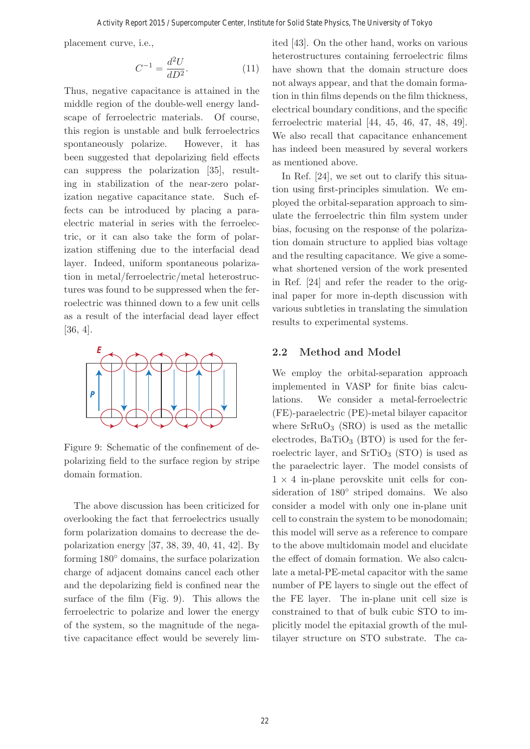placement curve, i.e.,

$$
C^{-1} = \frac{d^2 U}{dD^2}.
$$
 (11)

Thus, negative capacitance is attained in the middle region of the double-well energy landscape of ferroelectric materials. Of course, this region is unstable and bulk ferroelectrics spontaneously polarize. However, it has been suggested that depolarizing field effects can suppress the polarization [35], resulting in stabilization of the near-zero polarization negative capacitance state. Such effects can be introduced by placing a paraelectric material in series with the ferroelectric, or it can also take the form of polarization stiffening due to the interfacial dead layer. Indeed, uniform spontaneous polarization in metal/ferroelectric/metal heterostructures was found to be suppressed when the ferroelectric was thinned down to a few unit cells as a result of the interfacial dead layer effect [36, 4].



Figure 9: Schematic of the confinement of depolarizing field to the surface region by stripe domain formation.

The above discussion has been criticized for overlooking the fact that ferroelectrics usually form polarization domains to decrease the depolarization energy [37, 38, 39, 40, 41, 42]. By forming 180◦ domains, the surface polarization charge of adjacent domains cancel each other and the depolarizing field is confined near the surface of the film (Fig. 9). This allows the ferroelectric to polarize and lower the energy of the system, so the magnitude of the negative capacitance effect would be severely limited [43]. On the other hand, works on various heterostructures containing ferroelectric films have shown that the domain structure does not always appear, and that the domain formation in thin films depends on the film thickness, electrical boundary conditions, and the specific ferroelectric material [44, 45, 46, 47, 48, 49]. We also recall that capacitance enhancement has indeed been measured by several workers as mentioned above.

In Ref. [24], we set out to clarify this situation using first-principles simulation. We employed the orbital-separation approach to simulate the ferroelectric thin film system under bias, focusing on the response of the polarization domain structure to applied bias voltage and the resulting capacitance. We give a somewhat shortened version of the work presented in Ref. [24] and refer the reader to the original paper for more in-depth discussion with various subtleties in translating the simulation results to experimental systems.

### **2.2 Method and Model**

We employ the orbital-separation approach implemented in VASP for finite bias calculations. We consider a metal-ferroelectric (FE)-paraelectric (PE)-metal bilayer capacitor where  $SrRuO<sub>3</sub>$  (SRO) is used as the metallic electrodes,  $BaTiO<sub>3</sub>$  (BTO) is used for the ferroelectric layer, and  $SrTiO<sub>3</sub>$  (STO) is used as the paraelectric layer. The model consists of  $1 \times 4$  in-plane perovskite unit cells for consideration of 180◦ striped domains. We also consider a model with only one in-plane unit cell to constrain the system to be monodomain; this model will serve as a reference to compare to the above multidomain model and elucidate the effect of domain formation. We also calculate a metal-PE-metal capacitor with the same number of PE layers to single out the effect of the FE layer. The in-plane unit cell size is constrained to that of bulk cubic STO to implicitly model the epitaxial growth of the multilayer structure on STO substrate. The ca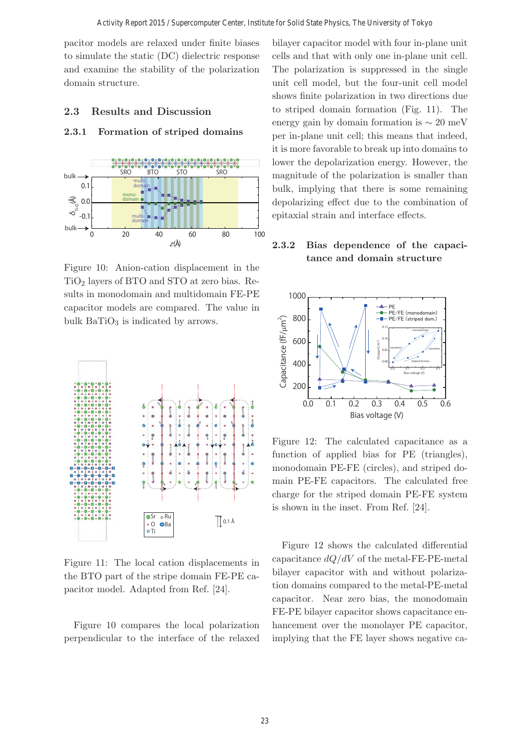pacitor models are relaxed under finite biases to simulate the static (DC) dielectric response and examine the stability of the polarization domain structure.

### **2.3 Results and Discussion**

### **2.3.1 Formation of striped domains**



Figure 10: Anion-cation displacement in the  $TiO<sub>2</sub>$  layers of BTO and STO at zero bias. Results in monodomain and multidomain FE-PE capacitor models are compared. The value in bulk  $BaTiO<sub>3</sub>$  is indicated by arrows.



Figure 11: The local cation displacements in the BTO part of the stripe domain FE-PE capacitor model. Adapted from Ref. [24].

Figure 10 compares the local polarization perpendicular to the interface of the relaxed bilayer capacitor model with four in-plane unit cells and that with only one in-plane unit cell. The polarization is suppressed in the single unit cell model, but the four-unit cell model shows finite polarization in two directions due to striped domain formation (Fig. 11). The energy gain by domain formation is  $\sim 20$  meV per in-plane unit cell; this means that indeed, it is more favorable to break up into domains to lower the depolarization energy. However, the magnitude of the polarization is smaller than bulk, implying that there is some remaining depolarizing effect due to the combination of epitaxial strain and interface effects.

### **2.3.2 Bias dependence of the capacitance and domain structure**



Figure 12: The calculated capacitance as a function of applied bias for PE (triangles), monodomain PE-FE (circles), and striped domain PE-FE capacitors. The calculated free charge for the striped domain PE-FE system is shown in the inset. From Ref. [24].

Figure 12 shows the calculated differential capacitance  $dQ/dV$  of the metal-FE-PE-metal bilayer capacitor with and without polarization domains compared to the metal-PE-metal capacitor. Near zero bias, the monodomain FE-PE bilayer capacitor shows capacitance enhancement over the monolayer PE capacitor, implying that the FE layer shows negative ca-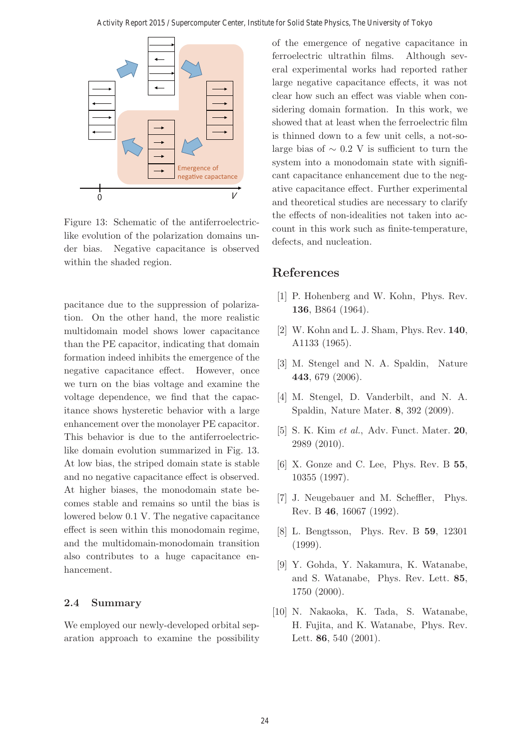

Figure 13: Schematic of the antiferroelectriclike evolution of the polarization domains under bias. Negative capacitance is observed within the shaded region.

pacitance due to the suppression of polarization. On the other hand, the more realistic multidomain model shows lower capacitance than the PE capacitor, indicating that domain formation indeed inhibits the emergence of the negative capacitance effect. However, once we turn on the bias voltage and examine the voltage dependence, we find that the capacitance shows hysteretic behavior with a large enhancement over the monolayer PE capacitor. This behavior is due to the antiferroelectriclike domain evolution summarized in Fig. 13. At low bias, the striped domain state is stable and no negative capacitance effect is observed. At higher biases, the monodomain state becomes stable and remains so until the bias is lowered below 0.1 V. The negative capacitance effect is seen within this monodomain regime, and the multidomain-monodomain transition also contributes to a huge capacitance enhancement.

### **2.4 Summary**

We employed our newly-developed orbital separation approach to examine the possibility of the emergence of negative capacitance in ferroelectric ultrathin films. Although several experimental works had reported rather large negative capacitance effects, it was not clear how such an effect was viable when considering domain formation. In this work, we showed that at least when the ferroelectric film is thinned down to a few unit cells, a not-solarge bias of  $\sim 0.2$  V is sufficient to turn the system into a monodomain state with significant capacitance enhancement due to the negative capacitance effect. Further experimental and theoretical studies are necessary to clarify the effects of non-idealities not taken into account in this work such as finite-temperature, defects, and nucleation.

## **References**

- [1] P. Hohenberg and W. Kohn, Phys. Rev. **136**, B864 (1964).
- [2] W. Kohn and L. J. Sham, Phys. Rev. **140**, A1133 (1965).
- [3] M. Stengel and N. A. Spaldin, Nature **443**, 679 (2006).
- [4] M. Stengel, D. Vanderbilt, and N. A. Spaldin, Nature Mater. **8**, 392 (2009).
- [5] S. K. Kim et al., Adv. Funct. Mater. **20**, 2989 (2010).
- [6] X. Gonze and C. Lee, Phys. Rev. B **55**, 10355 (1997).
- [7] J. Neugebauer and M. Scheffler, Phys. Rev. B **46**, 16067 (1992).
- [8] L. Bengtsson, Phys. Rev. B **59**, 12301 (1999).
- [9] Y. Gohda, Y. Nakamura, K. Watanabe, and S. Watanabe, Phys. Rev. Lett. **85**, 1750 (2000).
- [10] N. Nakaoka, K. Tada, S. Watanabe, H. Fujita, and K. Watanabe, Phys. Rev. Lett. **86**, 540 (2001).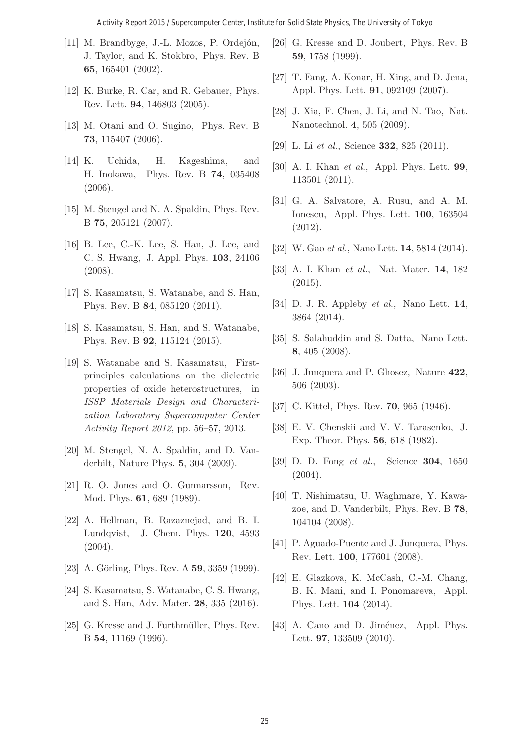#### Activity Report 2015 / Supercomputer Center, Institute for Solid State Physics, The University of Tokyo

- [11] M. Brandbyge, J.-L. Mozos, P. Ordejón, J. Taylor, and K. Stokbro, Phys. Rev. B **65**, 165401 (2002).
- [12] K. Burke, R. Car, and R. Gebauer, Phys. Rev. Lett. **94**, 146803 (2005).
- [13] M. Otani and O. Sugino, Phys. Rev. B **73**, 115407 (2006).
- [14] K. Uchida, H. Kageshima, and H. Inokawa, Phys. Rev. B **74**, 035408 (2006).
- [15] M. Stengel and N. A. Spaldin, Phys. Rev. B **75**, 205121 (2007).
- [16] B. Lee, C.-K. Lee, S. Han, J. Lee, and C. S. Hwang, J. Appl. Phys. **103**, 24106 (2008).
- [17] S. Kasamatsu, S. Watanabe, and S. Han, Phys. Rev. B **84**, 085120 (2011).
- [18] S. Kasamatsu, S. Han, and S. Watanabe, Phys. Rev. B **92**, 115124 (2015).
- [19] S. Watanabe and S. Kasamatsu, Firstprinciples calculations on the dielectric properties of oxide heterostructures, in ISSP Materials Design and Characterization Laboratory Supercomputer Center Activity Report 2012, pp. 56–57, 2013.
- [20] M. Stengel, N. A. Spaldin, and D. Vanderbilt, Nature Phys. **5**, 304 (2009).
- [21] R. O. Jones and O. Gunnarsson, Rev. Mod. Phys. **61**, 689 (1989).
- [22] A. Hellman, B. Razaznejad, and B. I. Lundqvist, J. Chem. Phys. **120**, 4593  $(2004).$
- [23] A. Görling, Phys. Rev. A **59**, 3359 (1999).
- [24] S. Kasamatsu, S. Watanabe, C. S. Hwang, and S. Han, Adv. Mater. **28**, 335 (2016).
- [25] G. Kresse and J. Furthmüller, Phys. Rev. B **54**, 11169 (1996).
- [26] G. Kresse and D. Joubert, Phys. Rev. B **59**, 1758 (1999).
- [27] T. Fang, A. Konar, H. Xing, and D. Jena, Appl. Phys. Lett. **91**, 092109 (2007).
- [28] J. Xia, F. Chen, J. Li, and N. Tao, Nat. Nanotechnol. **4**, 505 (2009).
- [29] L. Li et al., Science **332**, 825 (2011).
- [30] A. I. Khan et al., Appl. Phys. Lett. **99**, 113501 (2011).
- [31] G. A. Salvatore, A. Rusu, and A. M. Ionescu, Appl. Phys. Lett. **100**, 163504 (2012).
- [32] W. Gao et al., Nano Lett. **14**, 5814 (2014).
- [33] A. I. Khan et al., Nat. Mater. **14**, 182 (2015).
- [34] D. J. R. Appleby et al., Nano Lett. **14**, 3864 (2014).
- [35] S. Salahuddin and S. Datta, Nano Lett. **8**, 405 (2008).
- [36] J. Junquera and P. Ghosez, Nature **422**, 506 (2003).
- [37] C. Kittel, Phys. Rev. **70**, 965 (1946).
- [38] E. V. Chenskii and V. V. Tarasenko, J. Exp. Theor. Phys. **56**, 618 (1982).
- [39] D. D. Fong et al., Science **304**, 1650 (2004).
- [40] T. Nishimatsu, U. Waghmare, Y. Kawazoe, and D. Vanderbilt, Phys. Rev. B **78**, 104104 (2008).
- [41] P. Aguado-Puente and J. Junquera, Phys. Rev. Lett. **100**, 177601 (2008).
- [42] E. Glazkova, K. McCash, C.-M. Chang, B. K. Mani, and I. Ponomareva, Appl. Phys. Lett. **104** (2014).
- [43] A. Cano and D. Jiménez, Appl. Phys. Lett. **97**, 133509 (2010).